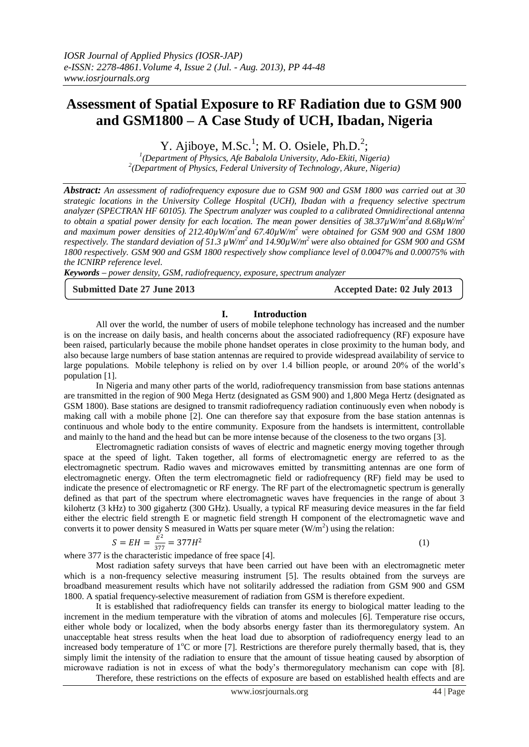# **Assessment of Spatial Exposure to RF Radiation due to GSM 900 and GSM1800 – A Case Study of UCH, Ibadan, Nigeria**

Y. Ajiboye, M.Sc.<sup>1</sup>; M. O. Osiele, Ph.D.<sup>2</sup>;

*1 (Department of Physics, Afe Babalola University, Ado-Ekiti, Nigeria) 2 (Department of Physics, Federal University of Technology, Akure, Nigeria)*

*Abstract: An assessment of radiofrequency exposure due to GSM 900 and GSM 1800 was carried out at 30 strategic locations in the University College Hospital (UCH), Ibadan with a frequency selective spectrum analyzer (SPECTRAN HF 60105). The Spectrum analyzer was coupled to a calibrated Omnidirectional antenna to obtain a spatial power density for each location. The mean power densities of 38.37µW/m<sup>2</sup> and 8.68µW/m<sup>2</sup> and maximum power densities of 212.40µW/m<sup>2</sup> and 67.40µW/m<sup>2</sup> were obtained for GSM 900 and GSM 1800 respectively. The standard deviation of 51.3 µW/m<sup>2</sup>and 14.90µW/m<sup>2</sup>were also obtained for GSM 900 and GSM 1800 respectively. GSM 900 and GSM 1800 respectively show compliance level of 0.0047% and 0.00075% with the ICNIRP reference level.*

*Keywords – power density, GSM, radiofrequency, exposure, spectrum analyzer*

#### **Submitted Date 27 June 2013 Accepted Date: 02 July 2013**

### **I. Introduction**

All over the world, the number of users of mobile telephone technology has increased and the number is on the increase on daily basis, and health concerns about the associated radiofrequency (RF) exposure have been raised, particularly because the mobile phone handset operates in close proximity to the human body, and also because large numbers of base station antennas are required to provide widespread availability of service to large populations. Mobile telephony is relied on by over 1.4 billion people, or around 20% of the world's population [1].

In Nigeria and many other parts of the world, radiofrequency transmission from base stations antennas are transmitted in the region of 900 Mega Hertz (designated as GSM 900) and 1,800 Mega Hertz (designated as GSM 1800). Base stations are designed to transmit radiofrequency radiation continuously even when nobody is making call with a mobile phone [2]. One can therefore say that exposure from the base station antennas is continuous and whole body to the entire community. Exposure from the handsets is intermittent, controllable and mainly to the hand and the head but can be more intense because of the closeness to the two organs [3].

Electromagnetic radiation consists of waves of electric and magnetic energy moving together through space at the speed of light. Taken together, all forms of electromagnetic energy are referred to as the electromagnetic spectrum. Radio waves and microwaves emitted by transmitting antennas are one form of electromagnetic energy. Often the term electromagnetic field or radiofrequency (RF) field may be used to indicate the presence of electromagnetic or RF energy. The RF part of the electromagnetic spectrum is generally defined as that part of the spectrum where electromagnetic waves have frequencies in the range of about 3 kilohertz (3 kHz) to 300 gigahertz (300 GHz). Usually, a typical RF measuring device measures in the far field either the electric field strength E or magnetic field strength H component of the electromagnetic wave and converts it to power density S measured in Watts per square meter  $(W/m<sup>2</sup>)$  using the relation:

$$
S = EH = \frac{E^2}{377} = 377H^2
$$

(1)

where 377 is the characteristic impedance of free space [4].

Most radiation safety surveys that have been carried out have been with an electromagnetic meter which is a non-frequency selective measuring instrument [5]. The results obtained from the surveys are broadband measurement results which have not solitarily addressed the radiation from GSM 900 and GSM 1800. A spatial frequency-selective measurement of radiation from GSM is therefore expedient.

It is established that radiofrequency fields can transfer its energy to biological matter leading to the increment in the medium temperature with the vibration of atoms and molecules [6]. Temperature rise occurs, either whole body or localized, when the body absorbs energy faster than its thermoregulatory system. An unacceptable heat stress results when the heat load due to absorption of radiofrequency energy lead to an increased body temperature of  $1^{\circ}$ C or more [7]. Restrictions are therefore purely thermally based, that is, they simply limit the intensity of the radiation to ensure that the amount of tissue heating caused by absorption of microwave radiation is not in excess of what the body's thermoregulatory mechanism can cope with [8]. Therefore, these restrictions on the effects of exposure are based on established health effects and are

www.iosrjournals.org 44 | Page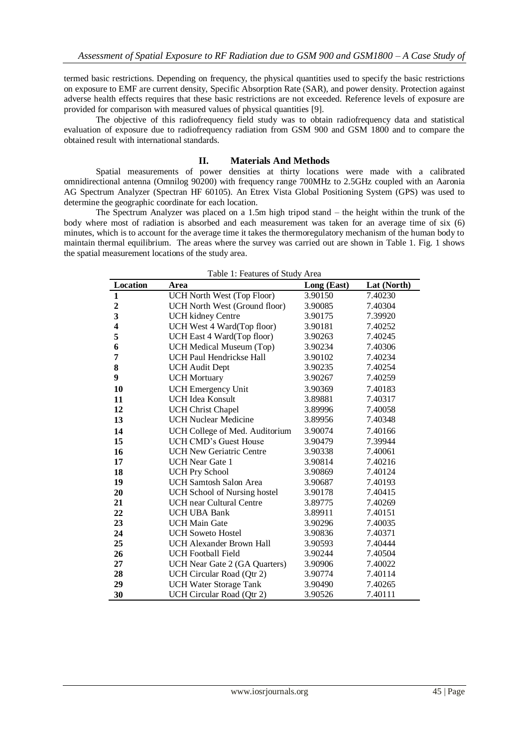termed basic restrictions. Depending on frequency, the physical quantities used to specify the basic restrictions on exposure to EMF are current density, Specific Absorption Rate (SAR), and power density. Protection against adverse health effects requires that these basic restrictions are not exceeded. Reference levels of exposure are provided for comparison with measured values of physical quantities [9].

The objective of this radiofrequency field study was to obtain radiofrequency data and statistical evaluation of exposure due to radiofrequency radiation from GSM 900 and GSM 1800 and to compare the obtained result with international standards.

#### **II. Materials And Methods**

Spatial measurements of power densities at thirty locations were made with a calibrated omnidirectional antenna (Omnilog 90200) with frequency range 700MHz to 2.5GHz coupled with an Aaronia AG Spectrum Analyzer (Spectran HF 60105). An Etrex Vista Global Positioning System (GPS) was used to determine the geographic coordinate for each location.

The Spectrum Analyzer was placed on a 1.5m high tripod stand – the height within the trunk of the body where most of radiation is absorbed and each measurement was taken for an average time of six (6) minutes, which is to account for the average time it takes the thermoregulatory mechanism of the human body to maintain thermal equilibrium. The areas where the survey was carried out are shown in Table 1. Fig. 1 shows the spatial measurement locations of the study area.

| Location                | Area                                | Long (East) | Lat (North) |
|-------------------------|-------------------------------------|-------------|-------------|
| $\mathbf{1}$            | UCH North West (Top Floor)          | 3.90150     | 7.40230     |
| $\overline{2}$          | UCH North West (Ground floor)       | 3.90085     | 7.40304     |
| $\overline{\mathbf{3}}$ | <b>UCH</b> kidney Centre            | 3.90175     | 7.39920     |
| $\overline{\mathbf{4}}$ | UCH West 4 Ward(Top floor)          | 3.90181     | 7.40252     |
| 5                       | UCH East 4 Ward(Top floor)          | 3.90263     | 7.40245     |
| 6                       | UCH Medical Museum (Top)            | 3.90234     | 7.40306     |
| 7                       | <b>UCH Paul Hendrickse Hall</b>     | 3.90102     | 7.40234     |
| 8                       | <b>UCH</b> Audit Dept               | 3.90235     | 7.40254     |
| 9                       | <b>UCH Mortuary</b>                 | 3.90267     | 7.40259     |
| 10                      | <b>UCH</b> Emergency Unit           | 3.90369     | 7.40183     |
| 11                      | <b>UCH Idea Konsult</b>             | 3.89881     | 7.40317     |
| 12                      | <b>UCH Christ Chapel</b>            | 3.89996     | 7.40058     |
| 13                      | <b>UCH Nuclear Medicine</b>         | 3.89956     | 7.40348     |
| 14                      | UCH College of Med. Auditorium      | 3.90074     | 7.40166     |
| 15                      | <b>UCH CMD's Guest House</b>        | 3.90479     | 7.39944     |
| 16                      | <b>UCH New Geriatric Centre</b>     | 3.90338     | 7.40061     |
| 17                      | <b>UCH</b> Near Gate 1              | 3.90814     | 7.40216     |
| 18                      | <b>UCH Pry School</b>               | 3.90869     | 7.40124     |
| 19                      | <b>UCH Samtosh Salon Area</b>       | 3.90687     | 7.40193     |
| 20                      | <b>UCH School of Nursing hostel</b> | 3.90178     | 7.40415     |
| 21                      | <b>UCH</b> near Cultural Centre     | 3.89775     | 7.40269     |
| 22                      | <b>UCH UBA Bank</b>                 | 3.89911     | 7.40151     |
| 23                      | <b>UCH Main Gate</b>                | 3.90296     | 7.40035     |
| 24                      | <b>UCH Soweto Hostel</b>            | 3.90836     | 7.40371     |
| 25                      | <b>UCH Alexander Brown Hall</b>     | 3.90593     | 7.40444     |
| 26                      | <b>UCH Football Field</b>           | 3.90244     | 7.40504     |
| 27                      | UCH Near Gate 2 (GA Quarters)       | 3.90906     | 7.40022     |
| 28                      | UCH Circular Road (Qtr 2)           | 3.90774     | 7.40114     |
| 29                      | <b>UCH Water Storage Tank</b>       | 3.90490     | 7.40265     |
| 30                      | UCH Circular Road (Qtr 2)           | 3.90526     | 7.40111     |

| Table 1: Features of Study Area |  |
|---------------------------------|--|
|---------------------------------|--|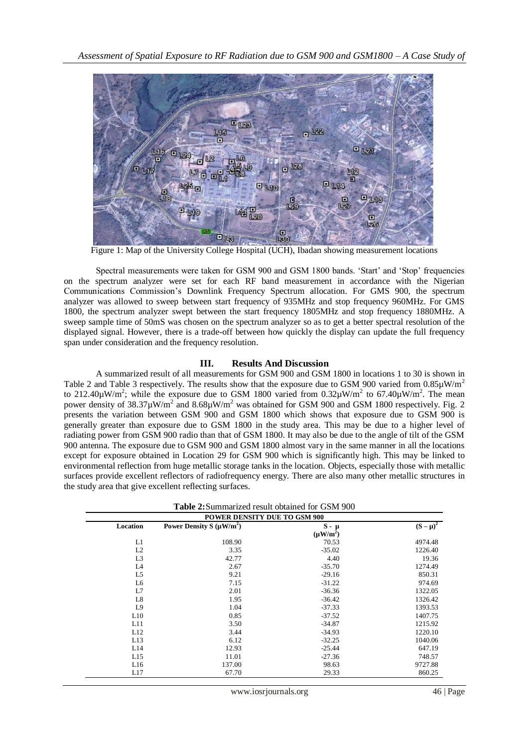

Figure 1: Map of the University College Hospital (UCH), Ibadan showing measurement locations

Spectral measurements were taken for GSM 900 and GSM 1800 bands. 'Start' and 'Stop' frequencies on the spectrum analyzer were set for each RF band measurement in accordance with the Nigerian Communications Commission's Downlink Frequency Spectrum allocation. For GMS 900, the spectrum analyzer was allowed to sweep between start frequency of 935MHz and stop frequency 960MHz. For GMS 1800, the spectrum analyzer swept between the start frequency 1805MHz and stop frequency 1880MHz. A sweep sample time of 50mS was chosen on the spectrum analyzer so as to get a better spectral resolution of the displayed signal. However, there is a trade-off between how quickly the display can update the full frequency span under consideration and the frequency resolution.

## **III. Results And Discussion**

A summarized result of all measurements for GSM 900 and GSM 1800 in locations 1 to 30 is shown in Table 2 and Table 3 respectively. The results show that the exposure due to GSM 900 varied from  $0.85\mu\text{W/m}^2$ to 212.40 $\mu$ W/m<sup>2</sup>; while the exposure due to GSM 1800 varied from 0.32 $\mu$ W/m<sup>2</sup> to 67.40 $\mu$ W/m<sup>2</sup>. The mean power density of  $38.37 \mu$ W/m<sup>2</sup> and  $8.68 \mu$ W/m<sup>2</sup> was obtained for GSM 900 and GSM 1800 respectively. Fig. 2 presents the variation between GSM 900 and GSM 1800 which shows that exposure due to GSM 900 is generally greater than exposure due to GSM 1800 in the study area. This may be due to a higher level of radiating power from GSM 900 radio than that of GSM 1800. It may also be due to the angle of tilt of the GSM 900 antenna. The exposure due to GSM 900 and GSM 1800 almost vary in the same manner in all the locations except for exposure obtained in Location 29 for GSM 900 which is significantly high. This may be linked to environmental reflection from huge metallic storage tanks in the location. Objects, especially those with metallic surfaces provide excellent reflectors of radiofrequency energy. There are also many other metallic structures in the study area that give excellent reflecting surfaces.

| <b>Table 2:</b> Summarized result obtained for GSM 900<br><b>POWER DENSITY DUE TO GSM 900</b> |        |               |         |
|-----------------------------------------------------------------------------------------------|--------|---------------|---------|
|                                                                                               |        |               |         |
|                                                                                               |        | $(\mu W/m^2)$ |         |
| L1                                                                                            | 108.90 | 70.53         | 4974.48 |
| L2                                                                                            | 3.35   | $-35.02$      | 1226.40 |
| L <sub>3</sub>                                                                                | 42.77  | 4.40          | 19.36   |
| L4                                                                                            | 2.67   | $-35.70$      | 1274.49 |
| L5                                                                                            | 9.21   | $-29.16$      | 850.31  |
| L6                                                                                            | 7.15   | $-31.22$      | 974.69  |
| L7                                                                                            | 2.01   | $-36.36$      | 1322.05 |
| L8                                                                                            | 1.95   | $-36.42$      | 1326.42 |
| L9                                                                                            | 1.04   | $-37.33$      | 1393.53 |
| L10                                                                                           | 0.85   | $-37.52$      | 1407.75 |
| L11                                                                                           | 3.50   | $-34.87$      | 1215.92 |
| L12                                                                                           | 3.44   | $-34.93$      | 1220.10 |
| L13                                                                                           | 6.12   | $-32.25$      | 1040.06 |
| L14                                                                                           | 12.93  | $-25.44$      | 647.19  |
| L15                                                                                           | 11.01  | $-27.36$      | 748.57  |
| L16                                                                                           | 137.00 | 98.63         | 9727.88 |
| L17                                                                                           | 67.70  | 29.33         | 860.25  |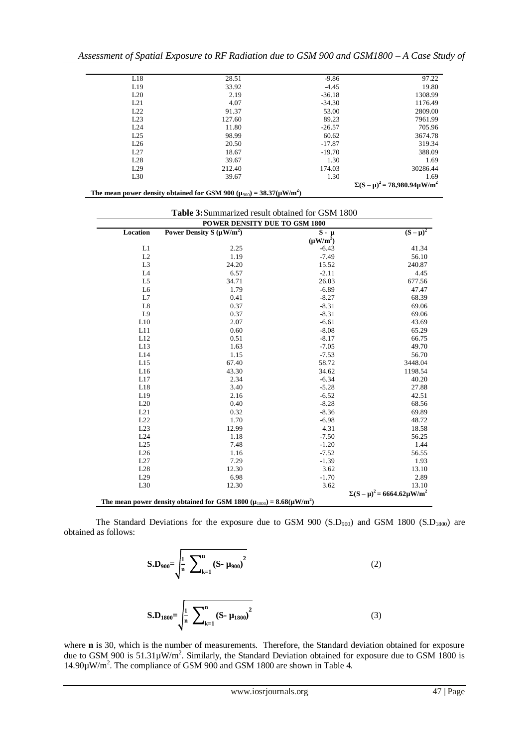| L18 | 28.51                                                                                         | $-9.86$  | 97.22                                   |
|-----|-----------------------------------------------------------------------------------------------|----------|-----------------------------------------|
| L19 | 33.92                                                                                         | $-4.45$  | 19.80                                   |
| L20 | 2.19                                                                                          | $-36.18$ | 1308.99                                 |
| L21 | 4.07                                                                                          | $-34.30$ | 1176.49                                 |
| L22 | 91.37                                                                                         | 53.00    | 2809.00                                 |
| L23 | 127.60                                                                                        | 89.23    | 7961.99                                 |
| L24 | 11.80                                                                                         | $-26.57$ | 705.96                                  |
| L25 | 98.99                                                                                         | 60.62    | 3674.78                                 |
| L26 | 20.50                                                                                         | $-17.87$ | 319.34                                  |
| L27 | 18.67                                                                                         | $-19.70$ | 388.09                                  |
| L28 | 39.67                                                                                         | 1.30     | 1.69                                    |
| L29 | 212.40                                                                                        | 174.03   | 30286.44                                |
| L30 | 39.67                                                                                         | 1.30     | 1.69                                    |
|     |                                                                                               |          | $\Sigma(S-\mu)^2 = 78,980.94 \mu W/m^2$ |
|     | The mean power density obtained for GSM 900 ( $\mu_{900}$ ) = 38.37( $\mu$ W/m <sup>2</sup> ) |          |                                         |

| <b>Table 3:</b> Summarized result obtained for GSM 1800 |  |
|---------------------------------------------------------|--|
|---------------------------------------------------------|--|

| animarized resurt obtained for GDIM T000<br>POWER DENSITY DUE TO GSM 1800 |                                                                                                |               |                                          |  |
|---------------------------------------------------------------------------|------------------------------------------------------------------------------------------------|---------------|------------------------------------------|--|
| Location                                                                  | Power Density S $(\mu W/m^2)$                                                                  | $S - \mu$     | $(S-\mu)^2$                              |  |
|                                                                           |                                                                                                | $(\mu W/m^2)$ |                                          |  |
| L1                                                                        | 2.25                                                                                           | $-6.43$       | 41.34                                    |  |
| L2                                                                        | 1.19                                                                                           | $-7.49$       | 56.10                                    |  |
| L <sub>3</sub>                                                            | 24.20                                                                                          | 15.52         | 240.87                                   |  |
| L <sub>4</sub>                                                            | 6.57                                                                                           | $-2.11$       | 4.45                                     |  |
| L <sub>5</sub>                                                            | 34.71                                                                                          | 26.03         | 677.56                                   |  |
| L <sub>6</sub>                                                            | 1.79                                                                                           | $-6.89$       | 47.47                                    |  |
| L7                                                                        | 0.41                                                                                           | $-8.27$       | 68.39                                    |  |
| L8                                                                        | 0.37                                                                                           | $-8.31$       | 69.06                                    |  |
| L9                                                                        | 0.37                                                                                           | $-8.31$       | 69.06                                    |  |
| L10                                                                       | 2.07                                                                                           | $-6.61$       | 43.69                                    |  |
| L11                                                                       | 0.60                                                                                           | $-8.08$       | 65.29                                    |  |
| L12                                                                       | 0.51                                                                                           | $-8.17$       | 66.75                                    |  |
| L13                                                                       | 1.63                                                                                           | $-7.05$       | 49.70                                    |  |
| L14                                                                       | 1.15                                                                                           | $-7.53$       | 56.70                                    |  |
| L15                                                                       | 67.40                                                                                          | 58.72         | 3448.04                                  |  |
| L16                                                                       | 43.30                                                                                          | 34.62         | 1198.54                                  |  |
| L17                                                                       | 2.34                                                                                           | $-6.34$       | 40.20                                    |  |
| L18                                                                       | 3.40                                                                                           | $-5.28$       | 27.88                                    |  |
| L19                                                                       | 2.16                                                                                           | $-6.52$       | 42.51                                    |  |
| L20                                                                       | 0.40                                                                                           | $-8.28$       | 68.56                                    |  |
| L21                                                                       | 0.32                                                                                           | $-8.36$       | 69.89                                    |  |
| L22                                                                       | 1.70                                                                                           | $-6.98$       | 48.72                                    |  |
| L23                                                                       | 12.99                                                                                          | 4.31          | 18.58                                    |  |
| L24                                                                       | 1.18                                                                                           | $-7.50$       | 56.25                                    |  |
| L25                                                                       | 7.48                                                                                           | $-1.20$       | 1.44                                     |  |
| L26                                                                       | 1.16                                                                                           | $-7.52$       | 56.55                                    |  |
| L27                                                                       | 7.29                                                                                           | $-1.39$       | 1.93                                     |  |
| L28                                                                       | 12.30                                                                                          | 3.62          | 13.10                                    |  |
| L29                                                                       | 6.98                                                                                           | $-1.70$       | 2.89                                     |  |
| L30                                                                       | 12.30                                                                                          | 3.62          | 13.10                                    |  |
|                                                                           |                                                                                                |               | $\Sigma (S - \mu)^2 = 6664.62 \mu W/m^2$ |  |
|                                                                           | The mean power density obtained for GSM 1800 ( $\mu_{1800}$ ) = 8.68( $\mu$ W/m <sup>2</sup> ) |               |                                          |  |

The Standard Deviations for the exposure due to GSM 900  $(S.D<sub>900</sub>)$  and GSM 1800  $(S.D<sub>1800</sub>)$  are obtained as follows:

$$
\mathbf{S}.\mathbf{D}_{900} = \sqrt{\frac{1}{n} \sum_{k=1}^{n} (S - \mu_{900})^2}
$$
\n
$$
\mathbf{S}.\mathbf{D}_{1800} = \sqrt{\frac{1}{n} \sum_{k=1}^{n} (S - \mu_{1800})^2}
$$
\n(2)

where **n** is 30, which is the number of measurements. Therefore, the Standard deviation obtained for exposure due to GSM 900 is  $51.31 \mu W/m^2$ . Similarly, the Standard Deviation obtained for exposure due to GSM 1800 is 14.90µW/m<sup>2</sup> . The compliance of GSM 900 and GSM 1800 are shown in Table 4.